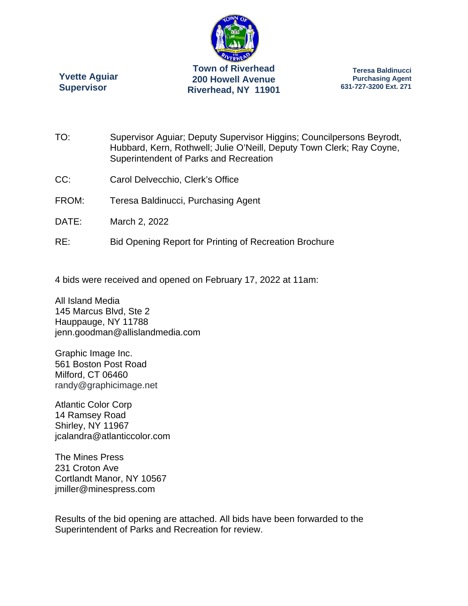

**Riverhead, NY 11901** 

**Yvette Aguiar Supervisor** 

**Teresa Baldinucci Purchasing Agent 631-727-3200 Ext. 271** 

- TO: Supervisor Aguiar; Deputy Supervisor Higgins; Councilpersons Beyrodt, Hubbard, Kern, Rothwell; Julie O'Neill, Deputy Town Clerk; Ray Coyne, Superintendent of Parks and Recreation
- CC: Carol Delvecchio, Clerk's Office
- FROM: Teresa Baldinucci, Purchasing Agent
- DATE: March 2, 2022
- RE: Bid Opening Report for Printing of Recreation Brochure

4 bids were received and opened on February 17, 2022 at 11am:

All Island Media 145 Marcus Blvd, Ste 2 Hauppauge, NY 11788 jenn.goodman@allislandmedia.com

Graphic Image Inc. 561 Boston Post Road Milford, CT 06460 randy@graphicimage.net

Atlantic Color Corp 14 Ramsey Road Shirley, NY 11967 jcalandra@atlanticcolor.com

The Mines Press 231 Croton Ave Cortlandt Manor, NY 10567 jmiller@minespress.com

Results of the bid opening are attached. All bids have been forwarded to the Superintendent of Parks and Recreation for review.